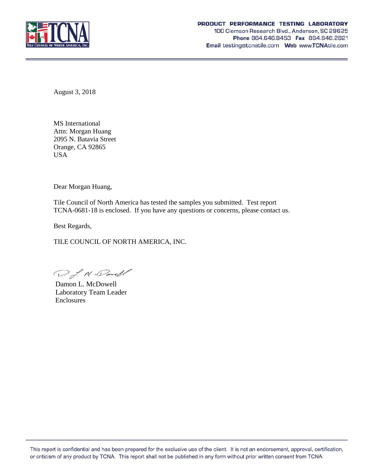

August 3, 2018

MS International Attn: Morgan Huang 2095 N. Batavia Street Orange, CA 92865 USA

Dear Morgan Huang,

Tile Council of North America has tested the samples you submitted. Test report TCNA-0681-18 is enclosed. If you have any questions or concerns, please contact us.

Best Regards,

TILE COUNCIL OF NORTH AMERICA, INC.

D. J. M. Dandl

Damon L. McDowell Laboratory Team Leader Enclosures

This report is confidential and has been prepared for the exclusive use of the client. It is not an endorsement, approval, certification, or criticism of any product by TCNA. This report shall not be published in any form without prior written consent from TCNA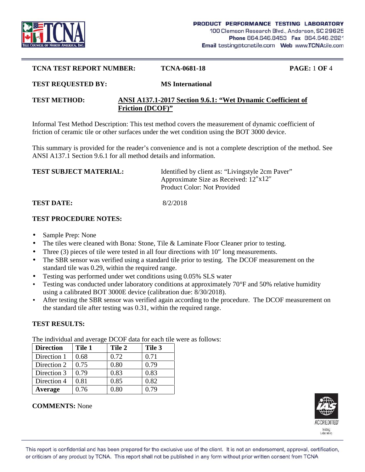

#### **TCNA TEST REPORT NUMBER: TCNA-0681-18 PAGE:** 1 **OF** 4

# **TEST REQUESTED BY: MS International**

### **TEST METHOD: ANSI A137.1-2017 Section 9.6.1: "Wet Dynamic Coefficient of Friction (DCOF)"**

Informal Test Method Description: This test method covers the measurement of dynamic coefficient of friction of ceramic tile or other surfaces under the wet condition using the BOT 3000 device.

This summary is provided for the reader's convenience and is not a complete description of the method. See ANSI A137.1 Section 9.6.1 for all method details and information.

| <b>TEST SUBJECT MATERIAL:</b> | Identified by client as: "Livingstyle 2cm Paver" |  |
|-------------------------------|--------------------------------------------------|--|
|                               | Approximate Size as Received: 12 x12             |  |
|                               | Product Color: Not Provided                      |  |
|                               |                                                  |  |

### **TEST DATE:** 8/2/2018

### **TEST PROCEDURE NOTES:**

- Sample Prep: None
- The tiles were cleaned with Bona: Stone, Tile & Laminate Floor Cleaner prior to testing.
- Three (3) pieces of tile were tested in all four directions with 10 long measurements.
- The SBR sensor was verified using a standard tile prior to testing. The DCOF measurement on the standard tile was 0.29, within the required range.
- Testing was performed under wet conditions using 0.05% SLS water
- Testing was conducted under laboratory conditions at approximately 70°F and 50% relative humidity using a calibrated BOT 3000E device (calibration due: 8/30/2018).
- After testing the SBR sensor was verified again according to the procedure. The DCOF measurement on the standard tile after testing was 0.31, within the required range.

## **TEST RESULTS:**

**Direction Tile 1 Tile 2 Tile 3** Direction 1 |  $0.68$  |  $0.72$  |  $0.71$ Direction 2 |  $0.75$  |  $0.80$  |  $0.79$ Direction 3 |  $0.79$  |  $0.83$  |  $0.83$ Direction 4  $\vert 0.81 \vert 0.85 \vert 0.82$ **Average** 0.76 0.80 0.79

The individual and average DCOF data for each tile were as follows:



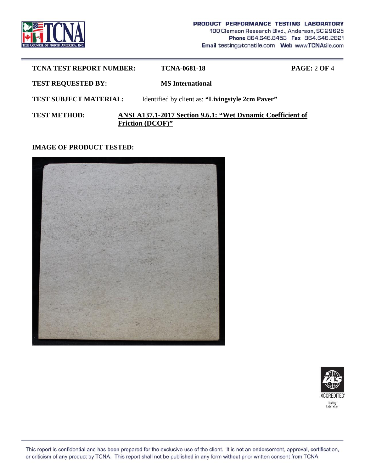

| <b>TCNA TEST REPORT NUMBER:</b> | TCNA-0681-18                                                                           | PAGE: 2 OF 4 |
|---------------------------------|----------------------------------------------------------------------------------------|--------------|
| <b>TEST REQUESTED BY:</b>       | <b>MS</b> International                                                                |              |
| <b>TEST SUBJECT MATERIAL:</b>   | Identified by client as: "Livingstyle 2cm Paver"                                       |              |
| <b>TEST METHOD:</b>             | ANSI A137.1-2017 Section 9.6.1: "Wet Dynamic Coefficient of<br><b>Friction (DCOF)"</b> |              |

### **IMAGE OF PRODUCT TESTED:**





This report is confidential and has been prepared for the exclusive use of the client. It is not an endorsement, approval, certification, or criticism of any product by TCNA. This report shall not be published in any form without prior written consent from TCNA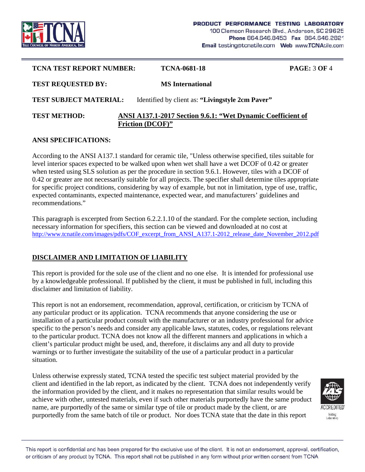

| <b>TCNA TEST REPORT NUMBER:</b> | TCNA-0681-18                                                                           | <b>PAGE: 3 OF 4</b> |
|---------------------------------|----------------------------------------------------------------------------------------|---------------------|
| <b>TEST REQUESTED BY:</b>       | <b>MS</b> International                                                                |                     |
| <b>TEST SUBJECT MATERIAL:</b>   | Identified by client as: "Livingstyle 2cm Paver"                                       |                     |
| <b>TEST METHOD:</b>             | ANSI A137.1-2017 Section 9.6.1: "Wet Dynamic Coefficient of<br><b>Friction (DCOF)"</b> |                     |

### **ANSI SPECIFICATIONS:**

According to the ANSI A137.1 standard for ceramic tile, "Unless otherwise specified, tiles suitable for level interior spaces expected to be walked upon when wet shall have a wet DCOF of 0.42 or greater when tested using SLS solution as per the procedure in section 9.6.1. However, tiles with a DCOF of 0.42 or greater are not necessarily suitable for all projects. The specifier shall determine tiles appropriate for specific project conditions, considering by way of example, but not in limitation, type of use, traffic, expected contaminants, expected maintenance, expected wear, and manufacturers' guidelines and recommendations."

This paragraph is excerpted from Section 6.2.2.1.10 of the standard. For the complete section, including necessary information for specifiers, this section can be viewed and downloaded at no cost at http://www.tcnatile.com/images/pdfs/COF\_excerpt\_from\_ANSI\_A137.1-2012\_release\_date\_November\_2012.pdf

## **DISCLAIMER AND LIMITATION OF LIABILITY**

This report is provided for the sole use of the client and no one else. It is intended for professional use by a knowledgeable professional. If published by the client, it must be published in full, including this disclaimer and limitation of liability.

This report is not an endorsement, recommendation, approval, certification, or criticism by TCNA of any particular product or its application. TCNA recommends that anyone considering the use or installation of a particular product consult with the manufacturer or an industry professional for advice specific to the person's needs and consider any applicable laws, statutes, codes, or regulations relevant to the particular product. TCNA does not know all the different manners and applications in which a client's particular product might be used, and, therefore, it disclaims any and all duty to provide warnings or to further investigate the suitability of the use of a particular product in a particular situation.

Unless otherwise expressly stated, TCNA tested the specific test subject material provided by the client and identified in the lab report, as indicated by the client. TCNA does not independently verify the information provided by the client, and it makes no representation that similar results would be achieve with other, untested materials, even if such other materials purportedly have the same product name, are purportedly of the same or similar type of tile or product made by the client, or are purportedly from the same batch of tile or product. Nor does TCNA state that the date in this report